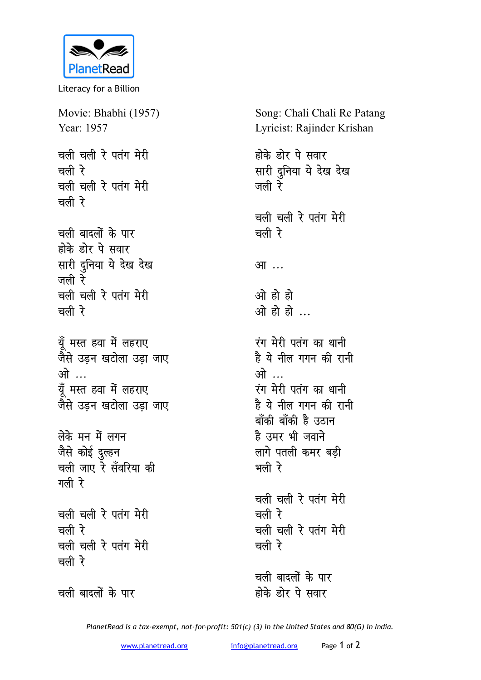

Literacy for a Billion

Movie: Bhabhi (1957) Year: 1957 चली चली रे पतंग मेरी चली रे चली चली रे पतंग मेरी चली रे चली बादलों के पार होके डोर पे सवार सारी दुनिया ये देख देख जली रे चली चली रे पतंग मेरी चली रे

यूँ मस्त हवा में लहराए जैसे उडन खटोला उडा जाए ओ … यँ मस्त हवा में लहराए जैसे उडन खटोला उडा जाए

लेके मन में लगन जैसे कोई दुल्हन चली जाए रे सँवरिया की गली रे

चली चली रे पतंग मेरी चली रे चली चली रे पतंग मेरी चली रे

चली बादलों के पार

Song: Chali Chali Re Patang Lyricist: Rajinder Krishan

होके डोर पे सवार सारी दुनिया ये देख देख जली रे चली चली रे पतंग मेरी चली रे आ... ओ हो हो ओ हो हो रंग मेरी पतंग का धानी है ये नील गगन की रानी ओ ... रंग मेरी पतंग का धानी है ये नील गगन की रानी बाँकी बाँकी है उठान है उमर भी जवाने लागे पतली कमर बड़ी

चली चली रे पतंग मेरी चली रे चली चली रे पतंग मेरी चली रे

भली रे

चली बादलों के पार होके डोर पे सवार

PlanetRead is a tax-exempt, not-for-profit: 501(c) (3) in the United States and 80(G) in India.